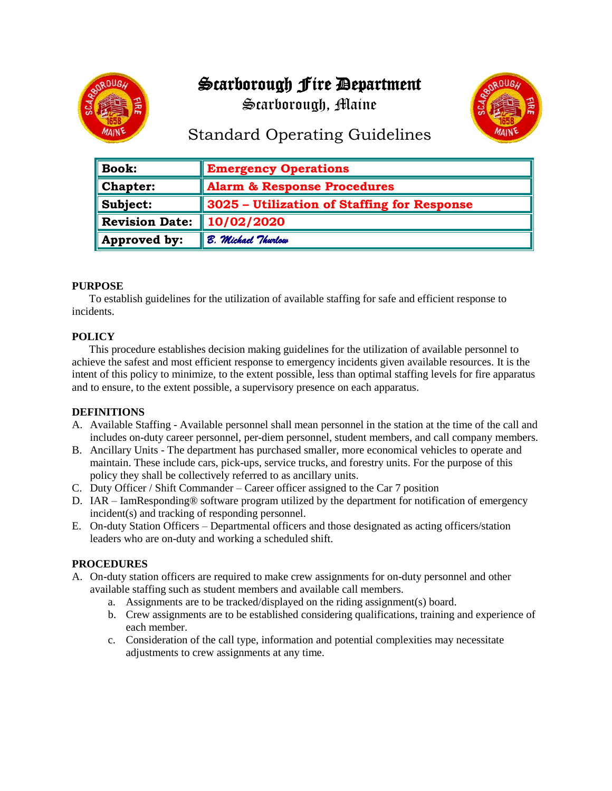# Scarborough Fire Department



Scarborough, Maine



## Standard Operating Guidelines

| <b>Book:</b>          | <b>Emergency Operations</b>                 |
|-----------------------|---------------------------------------------|
| Chapter:              | <b>Alarm &amp; Response Procedures</b>      |
| Subject:              | 3025 – Utilization of Staffing for Response |
| <b>Revision Date:</b> | 10/02/2020                                  |
| Approved by:          | B. Michael Thurlow                          |

#### **PURPOSE**

To establish guidelines for the utilization of available staffing for safe and efficient response to incidents.

### **POLICY**

This procedure establishes decision making guidelines for the utilization of available personnel to achieve the safest and most efficient response to emergency incidents given available resources. It is the intent of this policy to minimize, to the extent possible, less than optimal staffing levels for fire apparatus and to ensure, to the extent possible, a supervisory presence on each apparatus.

#### **DEFINITIONS**

- A. Available Staffing Available personnel shall mean personnel in the station at the time of the call and includes on-duty career personnel, per-diem personnel, student members, and call company members.
- B. Ancillary Units The department has purchased smaller, more economical vehicles to operate and maintain. These include cars, pick-ups, service trucks, and forestry units. For the purpose of this policy they shall be collectively referred to as ancillary units.
- C. Duty Officer / Shift Commander Career officer assigned to the Car 7 position
- D. IAR IamResponding® software program utilized by the department for notification of emergency incident(s) and tracking of responding personnel.
- E. On-duty Station Officers Departmental officers and those designated as acting officers/station leaders who are on-duty and working a scheduled shift.

#### **PROCEDURES**

- A. On-duty station officers are required to make crew assignments for on-duty personnel and other available staffing such as student members and available call members.
	- a. Assignments are to be tracked/displayed on the riding assignment(s) board.
	- b. Crew assignments are to be established considering qualifications, training and experience of each member.
	- c. Consideration of the call type, information and potential complexities may necessitate adjustments to crew assignments at any time.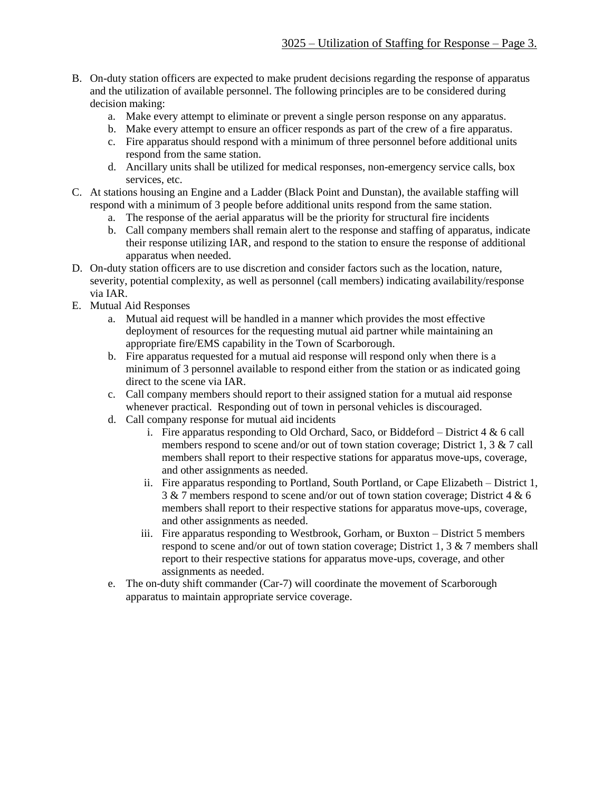- B. On-duty station officers are expected to make prudent decisions regarding the response of apparatus and the utilization of available personnel. The following principles are to be considered during decision making:
	- a. Make every attempt to eliminate or prevent a single person response on any apparatus.
	- b. Make every attempt to ensure an officer responds as part of the crew of a fire apparatus.
	- c. Fire apparatus should respond with a minimum of three personnel before additional units respond from the same station.
	- d. Ancillary units shall be utilized for medical responses, non-emergency service calls, box services, etc.
- C. At stations housing an Engine and a Ladder (Black Point and Dunstan), the available staffing will respond with a minimum of 3 people before additional units respond from the same station.
	- a. The response of the aerial apparatus will be the priority for structural fire incidents
	- b. Call company members shall remain alert to the response and staffing of apparatus, indicate their response utilizing IAR, and respond to the station to ensure the response of additional apparatus when needed.
- D. On-duty station officers are to use discretion and consider factors such as the location, nature, severity, potential complexity, as well as personnel (call members) indicating availability/response via IAR.
- E. Mutual Aid Responses
	- a. Mutual aid request will be handled in a manner which provides the most effective deployment of resources for the requesting mutual aid partner while maintaining an appropriate fire/EMS capability in the Town of Scarborough.
	- b. Fire apparatus requested for a mutual aid response will respond only when there is a minimum of 3 personnel available to respond either from the station or as indicated going direct to the scene via IAR.
	- c. Call company members should report to their assigned station for a mutual aid response whenever practical. Responding out of town in personal vehicles is discouraged.
	- d. Call company response for mutual aid incidents
		- i. Fire apparatus responding to Old Orchard, Saco, or Biddeford District  $4 \& 6$  call members respond to scene and/or out of town station coverage; District 1, 3 & 7 call members shall report to their respective stations for apparatus move-ups, coverage, and other assignments as needed.
		- ii. Fire apparatus responding to Portland, South Portland, or Cape Elizabeth District 1, 3 & 7 members respond to scene and/or out of town station coverage; District 4 & 6 members shall report to their respective stations for apparatus move-ups, coverage, and other assignments as needed.
		- iii. Fire apparatus responding to Westbrook, Gorham, or Buxton District 5 members respond to scene and/or out of town station coverage; District 1, 3 & 7 members shall report to their respective stations for apparatus move-ups, coverage, and other assignments as needed.
	- e. The on-duty shift commander (Car-7) will coordinate the movement of Scarborough apparatus to maintain appropriate service coverage.